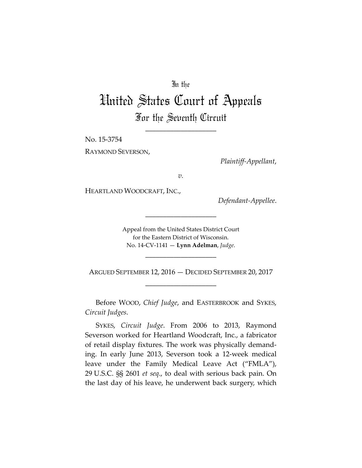# In the

# United States Court of Appeals For the Seventh Circuit

\_\_\_\_\_\_\_\_\_\_\_\_\_\_\_\_\_\_\_\_

No. 15-3754

RAYMOND SEVERSON,

*Plaintiff-Appellant*,

*v.*

HEARTLAND WOODCRAFT, INC.,

*Defendant-Appellee*.

Appeal from the United States District Court for the Eastern District of Wisconsin. No. 14-CV-1141 — **Lynn Adelman**, *Judge*.

\_\_\_\_\_\_\_\_\_\_\_\_\_\_\_\_\_\_\_\_

ARGUED SEPTEMBER 12, 2016 — DECIDED SEPTEMBER 20, 2017 \_\_\_\_\_\_\_\_\_\_\_\_\_\_\_\_\_\_\_\_

\_\_\_\_\_\_\_\_\_\_\_\_\_\_\_\_\_\_\_\_

Before WOOD, *Chief Judge*, and EASTERBROOK and SYKES, *Circuit Judges*.

SYKES, *Circuit Judge*. From 2006 to 2013, Raymond Severson worked for Heartland Woodcraft, Inc., a fabricator of retail display fixtures. The work was physically demanding. In early June 2013, Severson took a 12-week medical leave under the Family Medical Leave Act ("FMLA"), 29 U.S.C. §§ 2601 *et seq*., to deal with serious back pain. On the last day of his leave, he underwent back surgery, which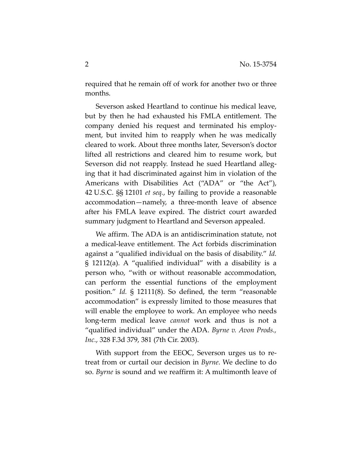required that he remain off of work for another two or three months.

Severson asked Heartland to continue his medical leave, but by then he had exhausted his FMLA entitlement. The company denied his request and terminated his employment, but invited him to reapply when he was medically cleared to work. About three months later, Severson's doctor lifted all restrictions and cleared him to resume work, but Severson did not reapply. Instead he sued Heartland alleging that it had discriminated against him in violation of the Americans with Disabilities Act ("ADA" or "the Act"), 42 U.S.C. §§ 12101 *et seq.*, by failing to provide a reasonable accommodation—namely, a three-month leave of absence after his FMLA leave expired. The district court awarded summary judgment to Heartland and Severson appealed.

We affirm. The ADA is an antidiscrimination statute, not a medical-leave entitlement. The Act forbids discrimination against a "qualified individual on the basis of disability." *Id.* § 12112(a). A "qualified individual" with a disability is a person who, "with or without reasonable accommodation, can perform the essential functions of the employment position." *Id.* § 12111(8). So defined, the term "reasonable accommodation" is expressly limited to those measures that will enable the employee to work. An employee who needs long-term medical leave *cannot* work and thus is not a "qualified individual" under the ADA. *Byrne v. Avon Prods., Inc.*, 328 F.3d 379, 381 (7th Cir. 2003).

With support from the EEOC, Severson urges us to retreat from or curtail our decision in *Byrne*. We decline to do so. *Byrne* is sound and we reaffirm it: A multimonth leave of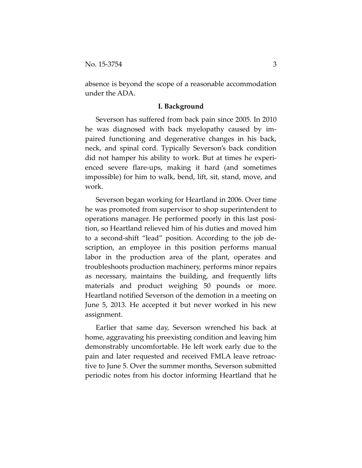absence is beyond the scope of a reasonable accommodation under the ADA.

#### **I. Background**

Severson has suffered from back pain since 2005. In 2010 he was diagnosed with back myelopathy caused by impaired functioning and degenerative changes in his back, neck, and spinal cord. Typically Severson's back condition did not hamper his ability to work. But at times he experienced severe flare-ups, making it hard (and sometimes impossible) for him to walk, bend, lift, sit, stand, move, and work.

Severson began working for Heartland in 2006. Over time he was promoted from supervisor to shop superintendent to operations manager. He performed poorly in this last position, so Heartland relieved him of his duties and moved him to a second-shift "lead" position. According to the job description, an employee in this position performs manual labor in the production area of the plant, operates and troubleshoots production machinery, performs minor repairs as necessary, maintains the building, and frequently lifts materials and product weighing 50 pounds or more. Heartland notified Severson of the demotion in a meeting on June 5, 2013. He accepted it but never worked in his new assignment.

Earlier that same day, Severson wrenched his back at home, aggravating his preexisting condition and leaving him demonstrably uncomfortable. He left work early due to the pain and later requested and received FMLA leave retroactive to June 5. Over the summer months, Severson submitted periodic notes from his doctor informing Heartland that he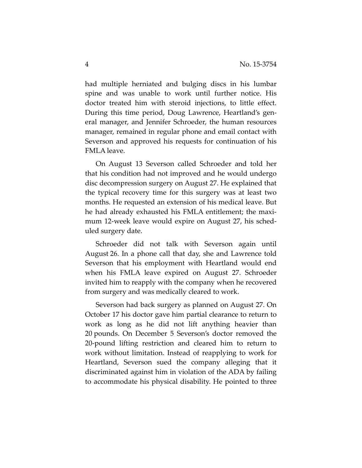had multiple herniated and bulging discs in his lumbar spine and was unable to work until further notice. His doctor treated him with steroid injections, to little effect. During this time period, Doug Lawrence, Heartland's general manager, and Jennifer Schroeder, the human resources manager, remained in regular phone and email contact with Severson and approved his requests for continuation of his FMLA leave.

On August 13 Severson called Schroeder and told her that his condition had not improved and he would undergo disc decompression surgery on August 27. He explained that the typical recovery time for this surgery was at least two months. He requested an extension of his medical leave. But he had already exhausted his FMLA entitlement; the maximum 12-week leave would expire on August 27, his scheduled surgery date.

Schroeder did not talk with Severson again until August 26. In a phone call that day, she and Lawrence told Severson that his employment with Heartland would end when his FMLA leave expired on August 27. Schroeder invited him to reapply with the company when he recovered from surgery and was medically cleared to work.

Severson had back surgery as planned on August 27. On October 17 his doctor gave him partial clearance to return to work as long as he did not lift anything heavier than 20 pounds. On December 5 Severson's doctor removed the 20-pound lifting restriction and cleared him to return to work without limitation. Instead of reapplying to work for Heartland, Severson sued the company alleging that it discriminated against him in violation of the ADA by failing to accommodate his physical disability. He pointed to three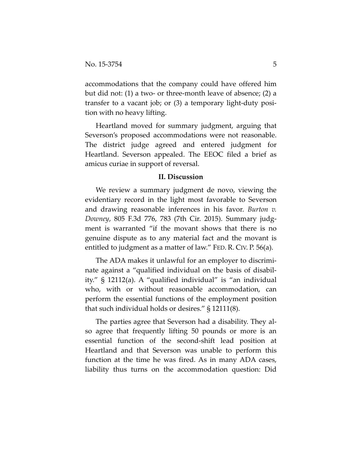accommodations that the company could have offered him but did not: (1) a two- or three-month leave of absence; (2) a transfer to a vacant job; or (3) a temporary light-duty position with no heavy lifting.

Heartland moved for summary judgment, arguing that Severson's proposed accommodations were not reasonable. The district judge agreed and entered judgment for Heartland. Severson appealed. The EEOC filed a brief as amicus curiae in support of reversal.

### **II. Discussion**

We review a summary judgment de novo, viewing the evidentiary record in the light most favorable to Severson and drawing reasonable inferences in his favor. *Burton v. Downey*, 805 F.3d 776, 783 (7th Cir. 2015). Summary judgment is warranted "if the movant shows that there is no genuine dispute as to any material fact and the movant is entitled to judgment as a matter of law." FED. R. CIV. P. 56(a).

The ADA makes it unlawful for an employer to discriminate against a "qualified individual on the basis of disability." § 12112(a). A "qualified individual" is "an individual who, with or without reasonable accommodation, can perform the essential functions of the employment position that such individual holds or desires." § 12111(8).

The parties agree that Severson had a disability. They also agree that frequently lifting 50 pounds or more is an essential function of the second-shift lead position at Heartland and that Severson was unable to perform this function at the time he was fired. As in many ADA cases, liability thus turns on the accommodation question: Did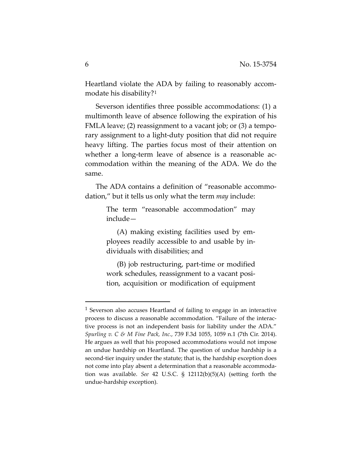Heartland violate the ADA by failing to reasonably accommodate his disability?[1](#page-5-0)

Severson identifies three possible accommodations: (1) a multimonth leave of absence following the expiration of his FMLA leave; (2) reassignment to a vacant job; or (3) a temporary assignment to a light-duty position that did not require heavy lifting. The parties focus most of their attention on whether a long-term leave of absence is a reasonable accommodation within the meaning of the ADA. We do the same.

The ADA contains a definition of "reasonable accommodation," but it tells us only what the term *may* include:

> The term "reasonable accommodation" may include—

> (A) making existing facilities used by employees readily accessible to and usable by individuals with disabilities; and

> (B) job restructuring, part-time or modified work schedules, reassignment to a vacant position, acquisition or modification of equipment

 $\overline{a}$ 

<span id="page-5-0"></span><sup>&</sup>lt;sup>1</sup> Severson also accuses Heartland of failing to engage in an interactive process to discuss a reasonable accommodation. "Failure of the interactive process is not an independent basis for liability under the ADA." *Spurling v. C & M Fine Pack, Inc.*, 739 F.3d 1055, 1059 n.1 (7th Cir. 2014). He argues as well that his proposed accommodations would not impose an undue hardship on Heartland. The question of undue hardship is a second-tier inquiry under the statute; that is, the hardship exception does not come into play absent a determination that a reasonable accommodation was available. *See* 42 U.S.C. § 12112(b)(5)(A) (setting forth the undue-hardship exception).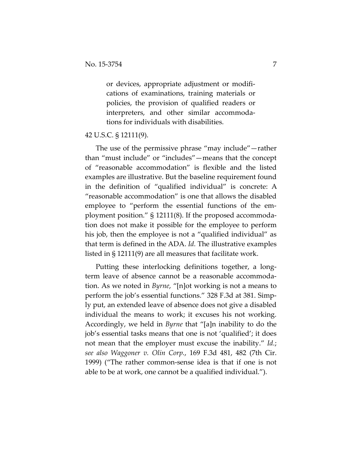or devices, appropriate adjustment or modifications of examinations, training materials or policies, the provision of qualified readers or interpreters, and other similar accommodations for individuals with disabilities.

## 42 U.S.C. § 12111(9).

The use of the permissive phrase "may include"—rather than "must include" or "includes"—means that the concept of "reasonable accommodation" is flexible and the listed examples are illustrative. But the baseline requirement found in the definition of "qualified individual" is concrete: A "reasonable accommodation" is one that allows the disabled employee to "perform the essential functions of the employment position." § 12111(8). If the proposed accommodation does not make it possible for the employee to perform his job, then the employee is not a "qualified individual" as that term is defined in the ADA. *Id.* The illustrative examples listed in § 12111(9) are all measures that facilitate work.

Putting these interlocking definitions together, a longterm leave of absence cannot be a reasonable accommodation. As we noted in *Byrne*, "[n]ot working is not a means to perform the job's essential functions." 328 F.3d at 381. Simply put, an extended leave of absence does not give a disabled individual the means to work; it excuses his not working. Accordingly, we held in *Byrne* that "[a]n inability to do the job's essential tasks means that one is not 'qualified'; it does not mean that the employer must excuse the inability." *Id.*; *see also Waggoner v. Olin Corp.*, 169 F.3d 481, 482 (7th Cir. 1999) ("The rather common-sense idea is that if one is not able to be at work, one cannot be a qualified individual.").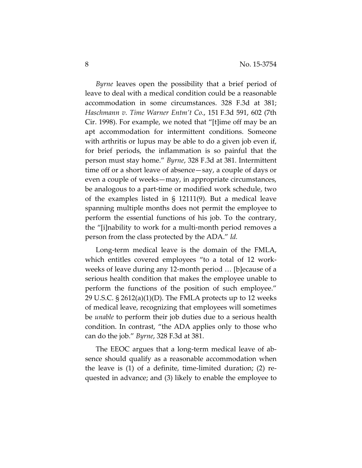*Byrne* leaves open the possibility that a brief period of leave to deal with a medical condition could be a reasonable accommodation in some circumstances. 328 F.3d at 381; *Haschmann v. Time Warner Entm't Co.*, 151 F.3d 591, 602 (7th Cir. 1998). For example, we noted that "[t]ime off may be an apt accommodation for intermittent conditions. Someone with arthritis or lupus may be able to do a given job even if, for brief periods, the inflammation is so painful that the person must stay home." *Byrne*, 328 F.3d at 381. Intermittent time off or a short leave of absence—say, a couple of days or even a couple of weeks—may, in appropriate circumstances, be analogous to a part-time or modified work schedule, two of the examples listed in § 12111(9). But a medical leave spanning multiple months does not permit the employee to perform the essential functions of his job. To the contrary, the "[i]nability to work for a multi-month period removes a person from the class protected by the ADA." *Id.*

Long-term medical leave is the domain of the FMLA, which entitles covered employees "to a total of 12 workweeks of leave during any 12-month period … [b]ecause of a serious health condition that makes the employee unable to perform the functions of the position of such employee." 29 U.S.C.  $\S 2612(a)(1)(D)$ . The FMLA protects up to 12 weeks of medical leave, recognizing that employees will sometimes be *unable* to perform their job duties due to a serious health condition. In contrast, "the ADA applies only to those who can do the job." *Byrne*, 328 F.3d at 381.

The EEOC argues that a long-term medical leave of absence should qualify as a reasonable accommodation when the leave is (1) of a definite, time-limited duration; (2) requested in advance; and (3) likely to enable the employee to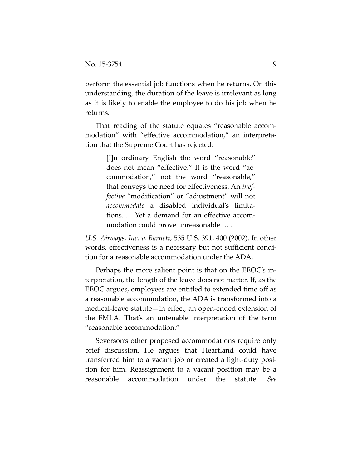perform the essential job functions when he returns. On this understanding, the duration of the leave is irrelevant as long as it is likely to enable the employee to do his job when he returns.

That reading of the statute equates "reasonable accommodation" with "effective accommodation," an interpretation that the Supreme Court has rejected:

> [I]n ordinary English the word "reasonable" does not mean "effective." It is the word "accommodation," not the word "reasonable," that conveys the need for effectiveness. An *ineffective* "modification" or "adjustment" will not *accommodate* a disabled individual's limitations. … Yet a demand for an effective accommodation could prove unreasonable … .

*U.S. Airways, Inc. v. Barnett*, 535 U.S. 391, 400 (2002). In other words, effectiveness is a necessary but not sufficient condition for a reasonable accommodation under the ADA.

Perhaps the more salient point is that on the EEOC's interpretation, the length of the leave does not matter. If, as the EEOC argues, employees are entitled to extended time off as a reasonable accommodation, the ADA is transformed into a medical-leave statute—in effect, an open-ended extension of the FMLA. That's an untenable interpretation of the term "reasonable accommodation."

Severson's other proposed accommodations require only brief discussion. He argues that Heartland could have transferred him to a vacant job or created a light-duty position for him. Reassignment to a vacant position may be a reasonable accommodation under the statute. *See*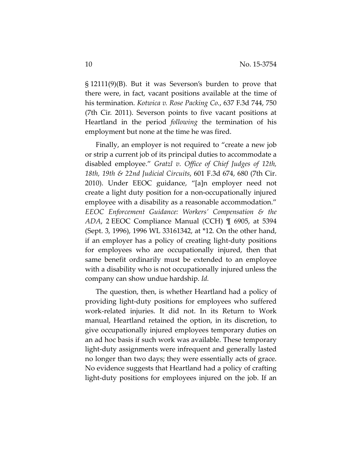§ 12111(9)(B). But it was Severson's burden to prove that there were, in fact, vacant positions available at the time of his termination. *Kotwica v. Rose Packing Co.*, 637 F.3d 744, 750 (7th Cir. 2011). Severson points to five vacant positions at Heartland in the period *following* the termination of his employment but none at the time he was fired.

Finally, an employer is not required to "create a new job or strip a current job of its principal duties to accommodate a disabled employee." *Gratzl v. Office of Chief Judges of 12th, 18th, 19th & 22nd Judicial Circuits*, 601 F.3d 674, 680 (7th Cir. 2010). Under EEOC guidance, "[a]n employer need not create a light duty position for a non-occupationally injured employee with a disability as a reasonable accommodation." *EEOC Enforcement Guidance: Workers' Compensation & the ADA*, 2 EEOC Compliance Manual (CCH) ¶ 6905, at 5394 (Sept. 3, 1996), 1996 WL 33161342, at \*12*.* On the other hand, if an employer has a policy of creating light-duty positions for employees who are occupationally injured, then that same benefit ordinarily must be extended to an employee with a disability who is not occupationally injured unless the company can show undue hardship. *Id.*

The question, then, is whether Heartland had a policy of providing light-duty positions for employees who suffered work-related injuries. It did not. In its Return to Work manual, Heartland retained the option, in its discretion, to give occupationally injured employees temporary duties on an ad hoc basis if such work was available. These temporary light-duty assignments were infrequent and generally lasted no longer than two days; they were essentially acts of grace. No evidence suggests that Heartland had a policy of crafting light-duty positions for employees injured on the job. If an